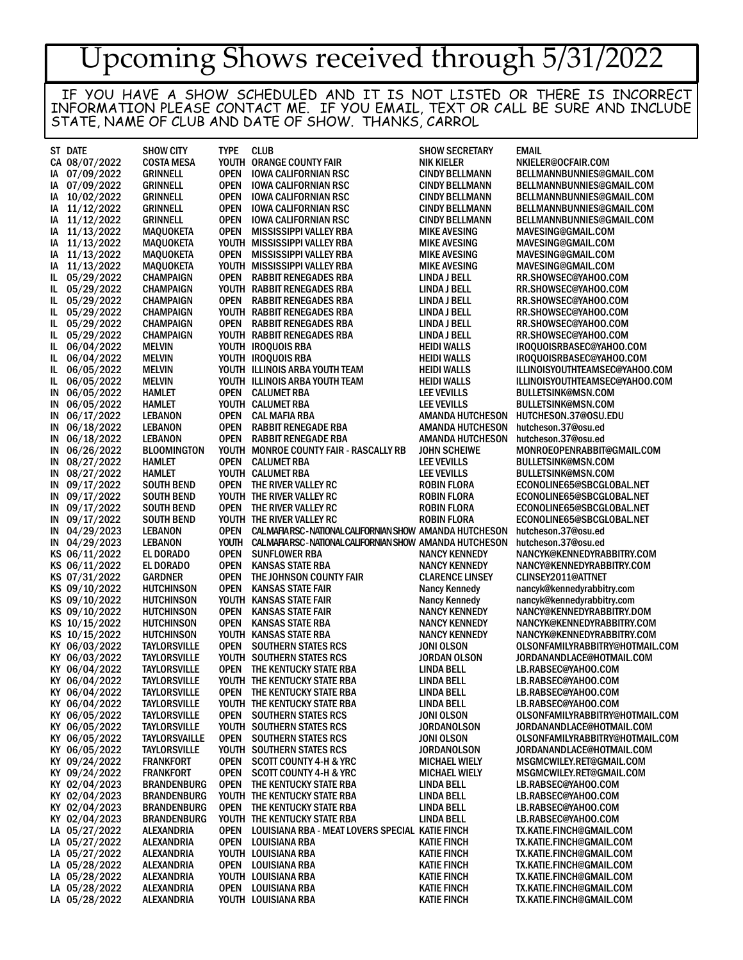## Upcoming Shows received through 5/31/2022

IF YOU HAVE A SHOW SCHEDULED AND IT IS NOT LISTED OR THERE IS INCORRECT INFORMATION PLEASE CONTACT ME. IF YOU EMAIL, TEXT OR CALL BE SURE AND INCLUDE STATE, NAME OF CLUB AND DATE OF SHOW. THANKS, CARROL

|            | ST DATE                        | <b>SHOW CITY</b>                        | <b>TYPE</b>                | <b>CLUB</b>                                                    | <b>SHOW SECRETARY</b>                              | <b>EMAIL</b>                                             |
|------------|--------------------------------|-----------------------------------------|----------------------------|----------------------------------------------------------------|----------------------------------------------------|----------------------------------------------------------|
|            | CA 08/07/2022                  | <b>COSTA MESA</b>                       |                            | YOUTH ORANGE COUNTY FAIR                                       | <b>NIK KIELER</b>                                  | NKIELER@OCFAIR.COM                                       |
| IA.        | 07/09/2022                     | <b>GRINNELL</b>                         | OPEN                       | <b>IOWA CALIFORNIAN RSC</b>                                    | <b>CINDY BELLMANN</b>                              | BELLMANNBUNNIES@GMAIL.COM                                |
|            | IA 07/09/2022                  | <b>GRINNELL</b>                         | OPEN                       | <b>IOWA CALIFORNIAN RSC</b>                                    | <b>CINDY BELLMANN</b>                              | BELLMANNBUNNIES@GMAIL.COM                                |
|            | IA 10/02/2022                  | <b>GRINNELL</b>                         | <b>OPEN</b>                | <b>IOWA CALIFORNIAN RSC</b>                                    | <b>CINDY BELLMANN</b>                              | BELLMANNBUNNIES@GMAIL.COM                                |
| IA.        | 11/12/2022                     | <b>GRINNELL</b>                         | <b>OPEN</b>                | <b>IOWA CALIFORNIAN RSC</b>                                    | <b>CINDY BELLMANN</b>                              | BELLMANNBUNNIES@GMAIL.COM                                |
| IΑ         | 11/12/2022                     | <b>GRINNELL</b>                         | <b>OPEN</b>                | <b>IOWA CALIFORNIAN RSC</b>                                    | <b>CINDY BELLMANN</b>                              | BELLMANNBUNNIES@GMAIL.COM                                |
| IA.        | 11/13/2022                     | <b>MAQUOKETA</b>                        | <b>OPEN</b>                | <b>MISSISSIPPI VALLEY RBA</b>                                  | <b>MIKE AVESING</b>                                | MAVESING@GMAIL.COM                                       |
| IΑ         | 11/13/2022<br>11/13/2022       | <b>MAQUOKETA</b><br><b>MAQUOKETA</b>    | <b>OPEN</b>                | YOUTH MISSISSIPPI VALLEY RBA<br><b>MISSISSIPPI VALLEY RBA</b>  | <b>MIKE AVESING</b><br><b>MIKE AVESING</b>         | MAVESING@GMAIL.COM<br>MAVESING@GMAIL.COM                 |
| IA.<br>IA. | 11/13/2022                     | <b>MAQUOKETA</b>                        |                            | YOUTH MISSISSIPPI VALLEY RBA                                   | <b>MIKE AVESING</b>                                | MAVESING@GMAIL.COM                                       |
| IL.        | 05/29/2022                     | <b>CHAMPAIGN</b>                        | <b>OPEN</b>                | <b>RABBIT RENEGADES RBA</b>                                    | <b>LINDA J BELL</b>                                | RR.SHOWSEC@YAHOO.COM                                     |
| IL.        | 05/29/2022                     | <b>CHAMPAIGN</b>                        |                            | YOUTH RABBIT RENEGADES RBA                                     | LINDA J BELL                                       | RR.SHOWSEC@YAHOO.COM                                     |
| IL.        | 05/29/2022                     | <b>CHAMPAIGN</b>                        | <b>OPEN</b>                | <b>RABBIT RENEGADES RBA</b>                                    | LINDA J BELL                                       | RR.SHOWSEC@YAHOO.COM                                     |
| IL.        | 05/29/2022                     | <b>CHAMPAIGN</b>                        |                            | YOUTH RABBIT RENEGADES RBA                                     | <b>LINDA J BELL</b>                                | RR.SHOWSEC@YAHOO.COM                                     |
| IL.        | 05/29/2022                     | <b>CHAMPAIGN</b>                        | <b>OPEN</b>                | <b>RABBIT RENEGADES RBA</b>                                    | LINDA J BELL                                       | RR.SHOWSEC@YAHOO.COM                                     |
| IL.        | 05/29/2022                     | <b>CHAMPAIGN</b>                        |                            | YOUTH RABBIT RENEGADES RBA                                     | <b>LINDA J BELL</b>                                | RR.SHOWSEC@YAHOO.COM                                     |
| IL.        | 06/04/2022                     | <b>MELVIN</b>                           |                            | YOUTH IROQUOIS RBA                                             | <b>HEIDI WALLS</b>                                 | IROQUOISRBASEC@YAHOO.COM                                 |
| IL.        | 06/04/2022                     | <b>MELVIN</b>                           |                            | YOUTH IROQUOIS RBA                                             | <b>HEIDI WALLS</b>                                 | IROQUOISRBASEC@YAHOO.COM                                 |
| IL.        | 06/05/2022                     | <b>MELVIN</b>                           |                            | YOUTH ILLINOIS ARBA YOUTH TEAM                                 | <b>HEIDI WALLS</b>                                 | ILLINOISYOUTHTEAMSEC@YAHOO.COM                           |
| IL.        | 06/05/2022                     | <b>MELVIN</b>                           |                            | YOUTH ILLINOIS ARBA YOUTH TEAM                                 | <b>HEIDI WALLS</b>                                 | ILLINOISYOUTHTEAMSEC@YAHOO.COM                           |
|            | IN 06/05/2022                  | <b>HAMLET</b>                           |                            | <b>OPEN CALUMET RBA</b>                                        | <b>LEE VEVILLS</b>                                 | <b>BULLETSINK@MSN.COM</b>                                |
|            | IN 06/05/2022                  | HAMLET                                  |                            | YOUTH CALUMET RBA                                              | <b>LEE VEVILLS</b>                                 | <b>BULLETSINK@MSN.COM</b>                                |
| IN.        | 06/17/2022                     | <b>LEBANON</b><br><b>LEBANON</b>        | <b>OPEN</b><br><b>OPEN</b> | <b>CAL MAFIA RBA</b><br><b>RABBIT RENEGADE RBA</b>             | <b>AMANDA HUTCHESON</b><br><b>AMANDA HUTCHESON</b> | HUTCHESON.37@OSU.EDU<br>hutcheson.37@osu.ed              |
|            | IN 06/18/2022<br>IN 06/18/2022 | <b>LEBANON</b>                          | <b>OPEN</b>                | <b>RABBIT RENEGADE RBA</b>                                     | AMANDA HUTCHESON                                   | hutcheson.37@osu.ed                                      |
|            | IN 06/26/2022                  | <b>BLOOMINGTON</b>                      |                            | YOUTH MONROE COUNTY FAIR - RASCALLY RB                         | <b>JOHN SCHEIWE</b>                                | MONROEOPENRABBIT@GMAIL.COM                               |
|            | IN 08/27/2022                  | HAMLET                                  |                            | <b>OPEN CALUMET RBA</b>                                        | <b>LEE VEVILLS</b>                                 | <b>BULLETSINK@MSN.COM</b>                                |
|            | IN 08/27/2022                  | HAMLET                                  |                            | YOUTH CALUMET RBA                                              | <b>LEE VEVILLS</b>                                 | <b>BULLETSINK@MSN.COM</b>                                |
|            | IN 09/17/2022                  | <b>SOUTH BEND</b>                       | OPEN                       | THE RIVER VALLEY RC                                            | <b>ROBIN FLORA</b>                                 | ECONOLINE65@SBCGLOBAL.NET                                |
|            | IN 09/17/2022                  | <b>SOUTH BEND</b>                       |                            | YOUTH THE RIVER VALLEY RC                                      | <b>ROBIN FLORA</b>                                 | ECONOLINE65@SBCGLOBAL.NET                                |
|            | IN 09/17/2022                  | <b>SOUTH BEND</b>                       |                            | OPEN THE RIVER VALLEY RC                                       | ROBIN FLORA                                        | ECONOLINE65@SBCGLOBAL.NET                                |
|            | IN 09/17/2022                  | <b>SOUTH BEND</b>                       |                            | YOUTH THE RIVER VALLEY RC                                      | <b>ROBIN FLORA</b>                                 | ECONOLINE65@SBCGLOBAL.NET                                |
|            | IN 04/29/2023                  | <b>LEBANON</b>                          | <b>OPEN</b>                | CALMAFIARSC-NATIONALCALIFORNIAN SHOW AMANDA HUTCHESON          |                                                    | hutcheson.37@osu.ed                                      |
|            | IN 04/29/2023                  | <b>LEBANON</b>                          |                            | YOUTH CALMAFIARSC-NATIONALCALIFORNIAN SHOW AMANDA HUTCHESON    |                                                    | hutcheson.37@osu.ed                                      |
|            | KS 06/11/2022                  | EL DORADO                               | <b>OPEN</b>                | <b>SUNFLOWER RBA</b>                                           | <b>NANCY KENNEDY</b>                               | NANCYK@KENNEDYRABBITRY.COM                               |
|            | KS 06/11/2022                  | EL DORADO                               | <b>OPEN</b>                | <b>KANSAS STATE RBA</b>                                        | <b>NANCY KENNEDY</b>                               | NANCY@KENNEDYRABBITRY.COM                                |
|            | KS 07/31/2022                  | <b>GARDNER</b>                          | <b>OPEN</b>                | THE JOHNSON COUNTY FAIR                                        | <b>CLARENCE LINSEY</b>                             | <b>CLINSEY2011@ATTNET</b>                                |
|            | KS 09/10/2022<br>KS 09/10/2022 | <b>HUTCHINSON</b><br><b>HUTCHINSON</b>  | <b>OPEN</b>                | <b>KANSAS STATE FAIR</b><br>YOUTH KANSAS STATE FAIR            | <b>Nancy Kennedy</b><br><b>Nancy Kennedy</b>       | nancyk@kennedyrabbitry.com<br>nancyk@kennedyrabbitry.com |
|            | KS 09/10/2022                  | <b>HUTCHINSON</b>                       | <b>OPEN</b>                | <b>KANSAS STATE FAIR</b>                                       | <b>NANCY KENNEDY</b>                               | NANCY@KENNEDYRABBITRY.DOM                                |
|            | KS 10/15/2022                  | <b>HUTCHINSON</b>                       | <b>OPEN</b>                | <b>KANSAS STATE RBA</b>                                        | <b>NANCY KENNEDY</b>                               | NANCYK@KENNEDYRABBITRY.COM                               |
|            | KS 10/15/2022                  | <b>HUTCHINSON</b>                       |                            | YOUTH KANSAS STATE RBA                                         | <b>NANCY KENNEDY</b>                               | NANCYK@KENNEDYRABBITRY.COM                               |
|            | KY 06/03/2022                  | <b>TAYLORSVILLE</b>                     | <b>OPEN</b>                | <b>SOUTHERN STATES RCS</b>                                     | JONI OLSON                                         | OLSONFAMILYRABBITRY@HOTMAIL.COM                          |
|            | KY 06/03/2022                  | <b>TAYLORSVILLE</b>                     |                            | YOUTH SOUTHERN STATES RCS                                      | <b>JORDAN OLSON</b>                                | JORDANANDLACE@HOTMAIL.COM                                |
|            | KY 06/04/2022                  | <b>TAYLORSVILLE</b>                     |                            | <b>OPEN THE KENTUCKY STATE RBA</b>                             | <b>LINDA BELL</b>                                  | LB.RABSEC@YAHOO.COM                                      |
|            | KY 06/04/2022                  | <b>TAYLORSVILLE</b>                     |                            | YOUTH THE KENTUCKY STATE RBA                                   | <b>LINDA BELL</b>                                  | LB.RABSEC@YAHOO.COM                                      |
|            | KY 06/04/2022                  | <b>TAYLORSVILLE</b>                     |                            | OPEN THE KENTUCKY STATE RBA                                    | <b>LINDA BELL</b>                                  | LB.RABSEC@YAHOO.COM                                      |
|            | KY 06/04/2022                  | <b>TAYLORSVILLE</b>                     |                            | YOUTH THE KENTUCKY STATE RBA                                   | LINDA BELL                                         | LB.RABSEC@YAHOO.COM                                      |
|            | KY 06/05/2022                  | <b>TAYLORSVILLE</b>                     |                            | <b>OPEN SOUTHERN STATES RCS</b>                                | JONI OLSON                                         | OLSONFAMILYRABBITRY@HOTMAIL.COM                          |
|            | KY 06/05/2022                  | <b>TAYLORSVILLE</b>                     |                            | YOUTH SOUTHERN STATES RCS                                      | <b>JORDANOLSON</b>                                 | JORDANANDLACE@HOTMAIL.COM                                |
|            | KY 06/05/2022                  | <b>TAYLORSVAILLE</b>                    |                            | <b>OPEN SOUTHERN STATES RCS</b>                                | JONI OLSON                                         | OLSONFAMILYRABBITRY@HOTMAIL.COM                          |
|            | KY 06/05/2022                  | <b>TAYLORSVILLE</b><br><b>FRANKFORT</b> | OPEN                       | YOUTH SOUTHERN STATES RCS<br><b>SCOTT COUNTY 4-H &amp; YRC</b> | <b>JORDANOLSON</b>                                 | JORDANANDLACE@HOTMAIL.COM<br>MSGMCWILEY.RET@GMAIL.COM    |
|            | KY 09/24/2022<br>KY 09/24/2022 | <b>FRANKFORT</b>                        | OPEN                       | <b>SCOTT COUNTY 4-H &amp; YRC</b>                              | <b>MICHAEL WIELY</b><br><b>MICHAEL WIELY</b>       | MSGMCWILEY.RET@GMAIL.COM                                 |
|            | KY 02/04/2023                  | <b>BRANDENBURG</b>                      | OPEN                       | THE KENTUCKY STATE RBA                                         | <b>LINDA BELL</b>                                  | LB.RABSEC@YAHOO.COM                                      |
|            | KY 02/04/2023                  | <b>BRANDENBURG</b>                      |                            | YOUTH THE KENTUCKY STATE RBA                                   | <b>LINDA BELL</b>                                  | LB.RABSEC@YAHOO.COM                                      |
|            | KY 02/04/2023                  | <b>BRANDENBURG</b>                      |                            | <b>OPEN THE KENTUCKY STATE RBA</b>                             | <b>LINDA BELL</b>                                  | LB.RABSEC@YAHOO.COM                                      |
|            | KY 02/04/2023                  | <b>BRANDENBURG</b>                      |                            | YOUTH THE KENTUCKY STATE RBA                                   | <b>LINDA BELL</b>                                  | LB.RABSEC@YAHOO.COM                                      |
|            | LA 05/27/2022                  | ALEXANDRIA                              | <b>OPEN</b>                | LOUISIANA RBA - MEAT LOVERS SPECIAL KATIE FINCH                |                                                    | TX.KATIE.FINCH@GMAIL.COM                                 |
|            | LA 05/27/2022                  | ALEXANDRIA                              | <b>OPEN</b>                | LOUISIANA RBA                                                  | KATIE FINCH                                        | TX.KATIE.FINCH@GMAIL.COM                                 |
|            | LA 05/27/2022                  | ALEXANDRIA                              |                            | YOUTH LOUISIANA RBA                                            | <b>KATIE FINCH</b>                                 | TX.KATIE.FINCH@GMAIL.COM                                 |
|            | LA 05/28/2022                  | ALEXANDRIA                              |                            | <b>OPEN LOUISIANA RBA</b>                                      | <b>KATIE FINCH</b>                                 | TX.KATIE.FINCH@GMAIL.COM                                 |
|            | LA 05/28/2022                  | ALEXANDRIA                              |                            | YOUTH LOUISIANA RBA                                            | <b>KATIE FINCH</b>                                 | TX.KATIE.FINCH@GMAIL.COM                                 |
|            | LA 05/28/2022                  | ALEXANDRIA                              | <b>OPEN</b>                | LOUISIANA RBA                                                  | <b>KATIE FINCH</b>                                 | TX.KATIE.FINCH@GMAIL.COM                                 |
|            | LA 05/28/2022                  | ALEXANDRIA                              |                            | YOUTH LOUISIANA RBA                                            | KATIE FINCH                                        | TX.KATIE.FINCH@GMAIL.COM                                 |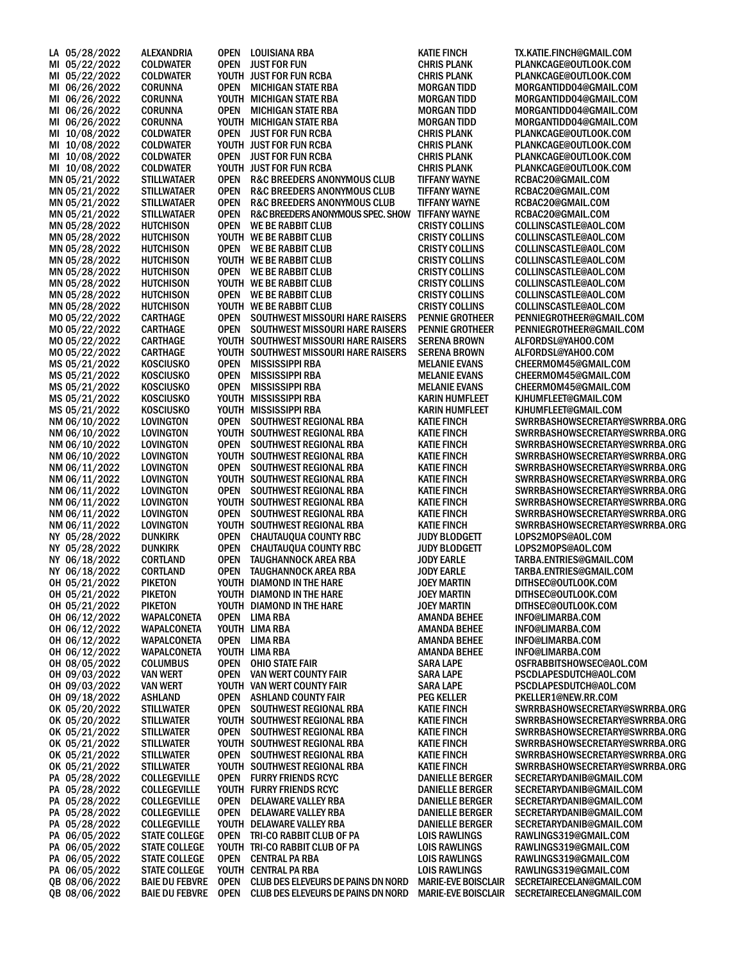| LA 05/28/2022                  | ALEXANDRIA                               | OPEN           | <b>LOUISIANA RBA</b>                                      | <b>KATIE FINCH</b>                             | TX.KATIE.FINCH@GMAIL.COM                                         |
|--------------------------------|------------------------------------------|----------------|-----------------------------------------------------------|------------------------------------------------|------------------------------------------------------------------|
| MI 05/22/2022                  | <b>COLDWATER</b>                         | OPEN           | <b>JUST FOR FUN</b>                                       | <b>CHRIS PLANK</b>                             | PLANKCAGE@OUTLOOK.COM                                            |
| MI 05/22/2022                  | <b>COLDWATER</b>                         |                | YOUTH JUST FOR FUN RCBA                                   | <b>CHRIS PLANK</b>                             | PLANKCAGE@OUTLOOK.COM                                            |
| MI 06/26/2022                  | <b>CORUNNA</b>                           | <b>OPEN</b>    | <b>MICHIGAN STATE RBA</b><br>YOUTH MICHIGAN STATE RBA     | <b>MORGAN TIDD</b>                             | MORGANTIDD04@GMAIL.COM                                           |
| MI 06/26/2022<br>MI 06/26/2022 | <b>CORUNNA</b><br><b>CORUNNA</b>         | <b>OPEN</b>    | <b>MICHIGAN STATE RBA</b>                                 | <b>MORGAN TIDD</b><br><b>MORGAN TIDD</b>       | MORGANTIDD04@GMAIL.COM<br>MORGANTIDD04@GMAIL.COM                 |
| MI 06/26/2022                  | <b>CORUNNA</b>                           |                | YOUTH MICHIGAN STATE RBA                                  | <b>MORGAN TIDD</b>                             | MORGANTIDD04@GMAIL.COM                                           |
| MI 10/08/2022                  | <b>COLDWATER</b>                         | <b>OPEN</b>    | <b>JUST FOR FUN RCBA</b>                                  | CHRIS PLANK                                    | PLANKCAGE@OUTLOOK.COM                                            |
| MI 10/08/2022                  | <b>COLDWATER</b>                         |                | YOUTH JUST FOR FUN RCBA                                   | <b>CHRIS PLANK</b>                             | PLANKCAGE@OUTLOOK.COM                                            |
| MI 10/08/2022                  | <b>COLDWATER</b>                         | <b>OPEN</b>    | <b>JUST FOR FUN RCBA</b>                                  | <b>CHRIS PLANK</b>                             | PLANKCAGE@OUTLOOK.COM                                            |
| MI 10/08/2022                  | <b>COLDWATER</b>                         |                | YOUTH JUST FOR FUN RCBA                                   | <b>CHRIS PLANK</b>                             | PLANKCAGE@OUTLOOK.COM                                            |
| MN 05/21/2022                  | STILLWATAER                              | <b>OPEN</b>    | R&C BREEDERS ANONYMOUS CLUB                               | <b>TIFFANY WAYNE</b>                           | RCBAC20@GMAIL.COM                                                |
| MN 05/21/2022                  | <b>STILLWATAER</b>                       | <b>OPEN</b>    | R&C BREEDERS ANONYMOUS CLUB                               | TIFFANY WAYNE                                  | RCBAC20@GMAIL.COM                                                |
| MN 05/21/2022                  | STILLWATAER                              | OPEN           | R&C BREEDERS ANONYMOUS CLUB                               | <b>TIFFANY WAYNE</b>                           | RCBAC20@GMAIL.COM                                                |
| MN 05/21/2022                  | <b>STILLWATAER</b>                       | <b>OPEN</b>    | R&C BREEDERS ANONYMOUS SPEC. SHOW                         | <b>TIFFANY WAYNE</b>                           | RCBAC20@GMAIL.COM                                                |
| MN 05/28/2022                  | <b>HUTCHISON</b>                         | <b>OPEN</b>    | <b>WE BE RABBIT CLUB</b>                                  | <b>CRISTY COLLINS</b>                          | COLLINSCASTLE@AOL.COM                                            |
| MN 05/28/2022                  | <b>HUTCHISON</b>                         |                | YOUTH WE BE RABBIT CLUB                                   | <b>CRISTY COLLINS</b>                          | COLLINSCASTLE@AOL.COM                                            |
| MN 05/28/2022                  | <b>HUTCHISON</b>                         | <b>OPEN</b>    | WE BE RABBIT CLUB                                         | <b>CRISTY COLLINS</b>                          | COLLINSCASTLE@AOL.COM                                            |
| MN 05/28/2022<br>MN 05/28/2022 | <b>HUTCHISON</b><br><b>HUTCHISON</b>     | <b>OPEN</b>    | YOUTH WE BE RABBIT CLUB<br>WE BE RABBIT CLUB              | <b>CRISTY COLLINS</b><br><b>CRISTY COLLINS</b> | COLLINSCASTLE@AOL.COM<br>COLLINSCASTLE@AOL.COM                   |
| MN 05/28/2022                  | <b>HUTCHISON</b>                         |                | YOUTH WE BE RABBIT CLUB                                   | <b>CRISTY COLLINS</b>                          | COLLINSCASTLE@AOL.COM                                            |
| MN 05/28/2022                  | <b>HUTCHISON</b>                         | <b>OPEN</b>    | <b>WE BE RABBIT CLUB</b>                                  | <b>CRISTY COLLINS</b>                          | COLLINSCASTLE@AOL.COM                                            |
| MN 05/28/2022                  | <b>HUTCHISON</b>                         |                | YOUTH WE BE RABBIT CLUB                                   | <b>CRISTY COLLINS</b>                          | COLLINSCASTLE@AOL.COM                                            |
| MO 05/22/2022                  | <b>CARTHAGE</b>                          | <b>OPEN</b>    | SOUTHWEST MISSOURI HARE RAISERS                           | <b>PENNIE GROTHEER</b>                         | PENNIEGROTHEER@GMAIL.COM                                         |
| MO 05/22/2022                  | <b>CARTHAGE</b>                          | <b>OPEN</b>    | SOUTHWEST MISSOURI HARE RAISERS                           | <b>PENNIE GROTHEER</b>                         | PENNIEGROTHEER@GMAIL.COM                                         |
| MO 05/22/2022                  | CARTHAGE                                 |                | YOUTH SOUTHWEST MISSOURI HARE RAISERS                     | <b>SERENA BROWN</b>                            | ALFORDSL@YAHOO.COM                                               |
| MO 05/22/2022                  | <b>CARTHAGE</b>                          | YOUTH          | SOUTHWEST MISSOURI HARE RAISERS                           | <b>SERENA BROWN</b>                            | ALFORDSL@YAHOO.COM                                               |
| MS 05/21/2022                  | <b>KOSCIUSKO</b>                         | <b>OPEN</b>    | <b>MISSISSIPPI RBA</b>                                    | <b>MELANIE EVANS</b>                           | CHEERMOM45@GMAIL.COM                                             |
| MS 05/21/2022                  | <b>KOSCIUSKO</b>                         | <b>OPEN</b>    | <b>MISSISSIPPI RBA</b>                                    | <b>MELANIE EVANS</b>                           | CHEERMOM45@GMAIL.COM                                             |
| MS 05/21/2022                  | <b>KOSCIUSKO</b>                         | <b>OPEN</b>    | <b>MISSISSIPPI RBA</b>                                    | <b>MELANIE EVANS</b>                           | CHEERMOM45@GMAIL.COM                                             |
| MS 05/21/2022<br>MS 05/21/2022 | <b>KOSCIUSKO</b><br><b>KOSCIUSKO</b>     | YOUTH<br>YOUTH | <b>MISSISSIPPI RBA</b><br>MISSISSIPPI RBA                 | KARIN HUMFLEET<br><b>KARIN HUMFLEET</b>        | KJHUMFLEET@GMAIL.COM                                             |
| NM 06/10/2022                  | LOVINGTON                                | <b>OPEN</b>    | SOUTHWEST REGIONAL RBA                                    | <b>KATIE FINCH</b>                             | KJHUMFLEET@GMAIL.COM<br>SWRRBASHOWSECRETARY@SWRRBA.ORG           |
| NM 06/10/2022                  | <b>LOVINGTON</b>                         |                | YOUTH SOUTHWEST REGIONAL RBA                              | <b>KATIE FINCH</b>                             | SWRRBASHOWSECRETARY@SWRRBA.ORG                                   |
| NM 06/10/2022                  | LOVINGTON                                | <b>OPEN</b>    | SOUTHWEST REGIONAL RBA                                    | <b>KATIE FINCH</b>                             | SWRRBASHOWSECRETARY@SWRRBA.ORG                                   |
| NM 06/10/2022                  | <b>LOVINGTON</b>                         |                | YOUTH SOUTHWEST REGIONAL RBA                              | <b>KATIE FINCH</b>                             | SWRRBASHOWSECRETARY@SWRRBA.ORG                                   |
| NM 06/11/2022                  | <b>LOVINGTON</b>                         | <b>OPEN</b>    | SOUTHWEST REGIONAL RBA                                    | <b>KATIE FINCH</b>                             | SWRRBASHOWSECRETARY@SWRRBA.ORG                                   |
| NM 06/11/2022                  | LOVINGTON                                |                | YOUTH SOUTHWEST REGIONAL RBA                              | KATIE FINCH                                    | SWRRBASHOWSECRETARY@SWRRBA.ORG                                   |
| NM 06/11/2022                  | LOVINGTON                                | <b>OPEN</b>    | SOUTHWEST REGIONAL RBA                                    | <b>KATIE FINCH</b>                             | SWRRBASHOWSECRETARY@SWRRBA.ORG                                   |
| NM 06/11/2022                  | <b>LOVINGTON</b>                         | <b>OPEN</b>    | YOUTH SOUTHWEST REGIONAL RBA                              | <b>KATIE FINCH</b>                             | SWRRBASHOWSECRETARY@SWRRBA.ORG                                   |
| NM 06/11/2022<br>NM 06/11/2022 | <b>LOVINGTON</b><br>LOVINGTON            |                | SOUTHWEST REGIONAL RBA<br>YOUTH SOUTHWEST REGIONAL RBA    | <b>KATIE FINCH</b><br><b>KATIE FINCH</b>       | SWRRBASHOWSECRETARY@SWRRBA.ORG<br>SWRRBASHOWSECRETARY@SWRRBA.ORG |
| NY 05/28/2022                  | <b>DUNKIRK</b>                           | <b>OPEN</b>    | <b>CHAUTAUQUA COUNTY RBC</b>                              | <b>JUDY BLODGETT</b>                           | LOPS2MOPS@AOL.COM                                                |
| NY 05/28/2022                  | <b>DUNKIRK</b>                           | <b>OPEN</b>    | <b>CHAUTAUQUA COUNTY RBC</b>                              | <b>JUDY BLODGETT</b>                           | LOPS2MOPS@AOL.COM                                                |
| NY 06/18/2022                  | <b>CORTLAND</b>                          | <b>OPEN</b>    | <b>TAUGHANNOCK AREA RBA</b>                               | <b>JODY EARLE</b>                              | TARBA.ENTRIES@GMAIL.COM                                          |
| NY 06/18/2022                  | <b>CORTLAND</b>                          | <b>OPEN</b>    | <b>TAUGHANNOCK AREA RBA</b>                               | <b>JODY EARLE</b>                              | TARBA.ENTRIES@GMAIL.COM                                          |
| OH 05/21/2022                  | PIKETON                                  |                | YOUTH DIAMOND IN THE HARE                                 | <b>JOEY MARTIN</b>                             | DITHSEC@OUTLOOK.COM                                              |
| OH 05/21/2022                  | PIKETON                                  |                | YOUTH DIAMOND IN THE HARE                                 | <b>JOEY MARTIN</b>                             | DITHSEC@OUTLOOK.COM                                              |
| OH 05/21/2022                  | <b>PIKETON</b>                           |                | YOUTH DIAMOND IN THE HARE                                 | <b>JOEY MARTIN</b>                             | DITHSEC@OUTLOOK.COM                                              |
| OH 06/12/2022                  | WAPALCONETA                              | OPEN           | LIMA RBA                                                  | <b>AMANDA BEHEE</b>                            | INFO@LIMARBA.COM                                                 |
| OH 06/12/2022<br>OH 06/12/2022 | <b>WAPALCONETA</b><br><b>WAPALCONETA</b> | OPEN           | YOUTH LIMA RBA<br>LIMA RBA                                | <b>AMANDA BEHEE</b>                            | INFO@LIMARBA.COM<br>INFO@LIMARBA.COM                             |
| OH 06/12/2022                  | <b>WAPALCONETA</b>                       |                | YOUTH LIMA RBA                                            | AMANDA BEHEE<br><b>AMANDA BEHEE</b>            | INFO@LIMARBA.COM                                                 |
| OH 08/05/2022                  | <b>COLUMBUS</b>                          | <b>OPEN</b>    | OHIO STATE FAIR                                           | <b>SARA LAPE</b>                               | OSFRABBITSHOWSEC@AOL.COM                                         |
| OH 09/03/2022                  | <b>VAN WERT</b>                          | <b>OPEN</b>    | <b>VAN WERT COUNTY FAIR</b>                               | <b>SARA LAPE</b>                               | PSCDLAPESDUTCH@AOL.COM                                           |
| OH 09/03/2022                  | VAN WERT                                 |                | YOUTH VAN WERT COUNTY FAIR                                | <b>SARA LAPE</b>                               | PSCDLAPESDUTCH@AOL.COM                                           |
| OH 09/18/2022                  | ASHLAND                                  | <b>OPEN</b>    | ASHLAND COUNTY FAIR                                       | <b>PEG KELLER</b>                              | PKELLER1@NEW.RR.COM                                              |
| OK 05/20/2022                  | <b>STILLWATER</b>                        | <b>OPEN</b>    | SOUTHWEST REGIONAL RBA                                    | <b>KATIE FINCH</b>                             | SWRRBASHOWSECRETARY@SWRRBA.ORG                                   |
| OK 05/20/2022                  | STILLWATER                               |                | YOUTH SOUTHWEST REGIONAL RBA                              | <b>KATIE FINCH</b>                             | SWRRBASHOWSECRETARY@SWRRBA.ORG                                   |
| OK 05/21/2022                  | <b>STILLWATER</b>                        | <b>OPEN</b>    | SOUTHWEST REGIONAL RBA                                    | <b>KATIE FINCH</b>                             | SWRRBASHOWSECRETARY@SWRRBA.ORG                                   |
| OK 05/21/2022                  | <b>STILLWATER</b>                        |                | YOUTH SOUTHWEST REGIONAL RBA                              | <b>KATIE FINCH</b>                             | SWRRBASHOWSECRETARY@SWRRBA.ORG                                   |
| OK 05/21/2022                  | STILLWATER                               | OPEN           | SOUTHWEST REGIONAL RBA                                    | <b>KATIE FINCH</b>                             | SWRRBASHOWSECRETARY@SWRRBA.ORG                                   |
| OK 05/21/2022<br>PA 05/28/2022 | <b>STILLWATER</b><br><b>COLLEGEVILLE</b> | <b>OPEN</b>    | YOUTH SOUTHWEST REGIONAL RBA<br><b>FURRY FRIENDS RCYC</b> | <b>KATIE FINCH</b><br><b>DANIELLE BERGER</b>   | SWRRBASHOWSECRETARY@SWRRBA.ORG<br>SECRETARYDANIB@GMAIL.COM       |
| PA 05/28/2022                  | <b>COLLEGEVILLE</b>                      |                | YOUTH FURRY FRIENDS RCYC                                  | <b>DANIELLE BERGER</b>                         | SECRETARYDANIB@GMAIL.COM                                         |
| PA 05/28/2022                  | <b>COLLEGEVILLE</b>                      | <b>OPEN</b>    | DELAWARE VALLEY RBA                                       | <b>DANIELLE BERGER</b>                         | SECRETARYDANIB@GMAIL.COM                                         |
| PA 05/28/2022                  | <b>COLLEGEVILLE</b>                      | <b>OPEN</b>    | <b>DELAWARE VALLEY RBA</b>                                | <b>DANIELLE BERGER</b>                         | SECRETARYDANIB@GMAIL.COM                                         |
| PA 05/28/2022                  | <b>COLLEGEVILLE</b>                      |                | YOUTH DELAWARE VALLEY RBA                                 | <b>DANIELLE BERGER</b>                         | SECRETARYDANIB@GMAIL.COM                                         |
| PA 06/05/2022                  | STATE COLLEGE                            |                | OPEN TRI-CO RABBIT CLUB OF PA                             | <b>LOIS RAWLINGS</b>                           | RAWLINGS319@GMAIL.COM                                            |
| PA 06/05/2022                  | <b>STATE COLLEGE</b>                     |                | YOUTH TRI-CO RABBIT CLUB OF PA                            | <b>LOIS RAWLINGS</b>                           | RAWLINGS319@GMAIL.COM                                            |
| PA 06/05/2022                  | STATE COLLEGE                            |                | OPEN CENTRAL PA RBA                                       | LOIS RAWLINGS                                  | RAWLINGS319@GMAIL.COM                                            |
| PA 06/05/2022                  | <b>STATE COLLEGE</b>                     |                | YOUTH CENTRAL PA RBA                                      | <b>LOIS RAWLINGS</b>                           | RAWLINGS319@GMAIL.COM                                            |
| QB 08/06/2022                  | <b>BAIE DU FEBVRE</b>                    | <b>OPEN</b>    | <b>CLUB DES ELEVEURS DE PAINS DN NORD</b>                 | <b>MARIE-EVE BOISCLAIR</b>                     | SECRETAIRECELAN@GMAIL.COM                                        |
| QB 08/06/2022                  | <b>BAIE DU FEBVRE</b>                    | <b>OPEN</b>    | <b>CLUB DES ELEVEURS DE PAINS DN NORD</b>                 | <b>MARIE-EVE BOISCLAIR</b>                     | SECRETAIRECELAN@GMAIL.COM                                        |